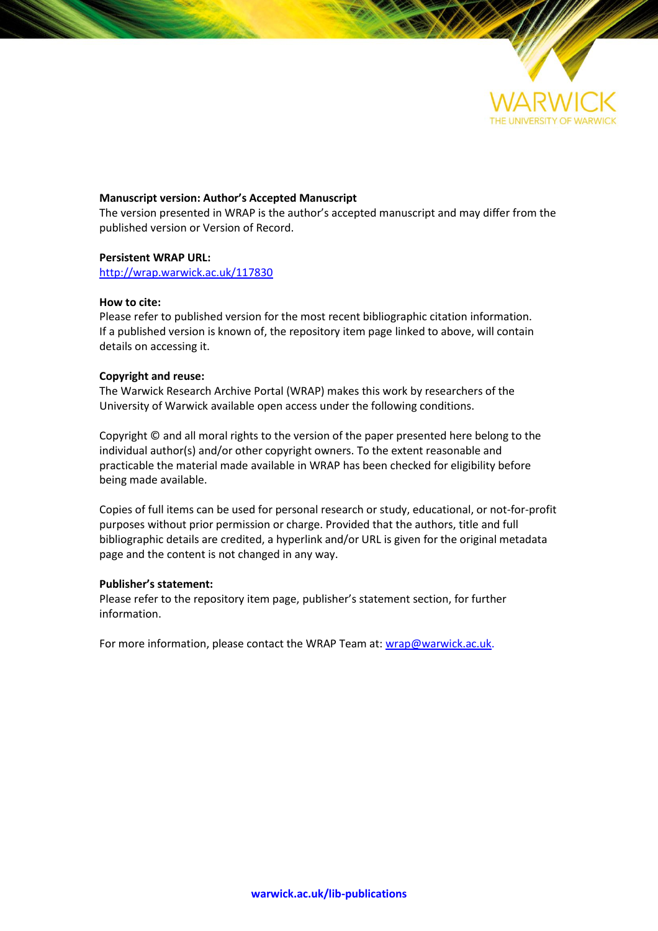

# **Manuscript version: Author's Accepted Manuscript**

The version presented in WRAP is the author's accepted manuscript and may differ from the published version or Version of Record.

# **Persistent WRAP URL:**

<http://wrap.warwick.ac.uk/117830>

# **How to cite:**

Please refer to published version for the most recent bibliographic citation information. If a published version is known of, the repository item page linked to above, will contain details on accessing it.

# **Copyright and reuse:**

The Warwick Research Archive Portal (WRAP) makes this work by researchers of the University of Warwick available open access under the following conditions.

Copyright © and all moral rights to the version of the paper presented here belong to the individual author(s) and/or other copyright owners. To the extent reasonable and practicable the material made available in WRAP has been checked for eligibility before being made available.

Copies of full items can be used for personal research or study, educational, or not-for-profit purposes without prior permission or charge. Provided that the authors, title and full bibliographic details are credited, a hyperlink and/or URL is given for the original metadata page and the content is not changed in any way.

# **Publisher's statement:**

Please refer to the repository item page, publisher's statement section, for further information.

For more information, please contact the WRAP Team at[: wrap@warwick.ac.uk.](mailto:wrap@warwick.ac.uk)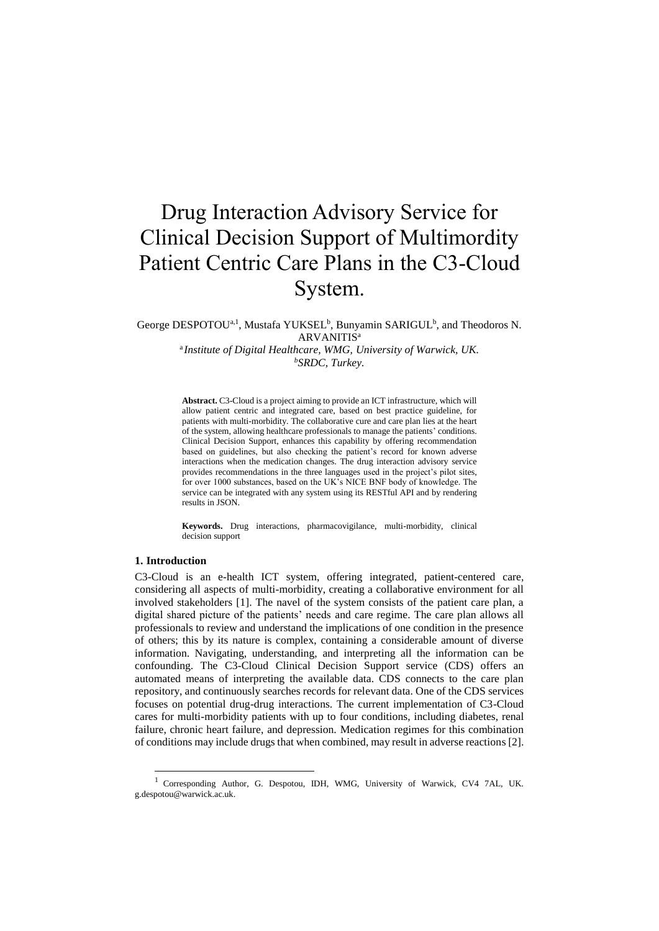# Drug Interaction Advisory Service for Clinical Decision Support of Multimordity Patient Centric Care Plans in the C3-Cloud System.

George DESPOTOU<sup>a, 1</sup>, Mustafa YUKSEL<sup>b</sup>, Bunyamin SARIGUL<sup>b</sup>, and Theodoros N. **ARVANITIS<sup>a</sup>** 

> a *Institute of Digital Healthcare, WMG, University of Warwick, UK. <sup>b</sup>SRDC, Turkey.*

> **Abstract.** C3-Cloud is a project aiming to provide an ICT infrastructure, which will allow patient centric and integrated care, based on best practice guideline, for patients with multi-morbidity. The collaborative cure and care plan lies at the heart of the system, allowing healthcare professionals to manage the patients' conditions. Clinical Decision Support, enhances this capability by offering recommendation based on guidelines, but also checking the patient's record for known adverse interactions when the medication changes. The drug interaction advisory service provides recommendations in the three languages used in the project's pilot sites, for over 1000 substances, based on the UK's NICE BNF body of knowledge. The service can be integrated with any system using its RESTful API and by rendering results in JSON.

> **Keywords.** Drug interactions, pharmacovigilance, multi-morbidity, clinical decision support

#### **1. Introduction**

-

C3-Cloud is an e-health ICT system, offering integrated, patient-centered care, considering all aspects of multi-morbidity, creating a collaborative environment for all involved stakeholders [1]. The navel of the system consists of the patient care plan, a digital shared picture of the patients' needs and care regime. The care plan allows all professionals to review and understand the implications of one condition in the presence of others; this by its nature is complex, containing a considerable amount of diverse information. Navigating, understanding, and interpreting all the information can be confounding. The C3-Cloud Clinical Decision Support service (CDS) offers an automated means of interpreting the available data. CDS connects to the care plan repository, and continuously searches records for relevant data. One of the CDS services focuses on potential drug-drug interactions. The current implementation of C3-Cloud cares for multi-morbidity patients with up to four conditions, including diabetes, renal failure, chronic heart failure, and depression. Medication regimes for this combination of conditions may include drugs that when combined, may result in adverse reactions [2].

<sup>1</sup> Corresponding Author, G. Despotou, IDH, WMG, University of Warwick, CV4 7AL, UK. g.despotou@warwick.ac.uk.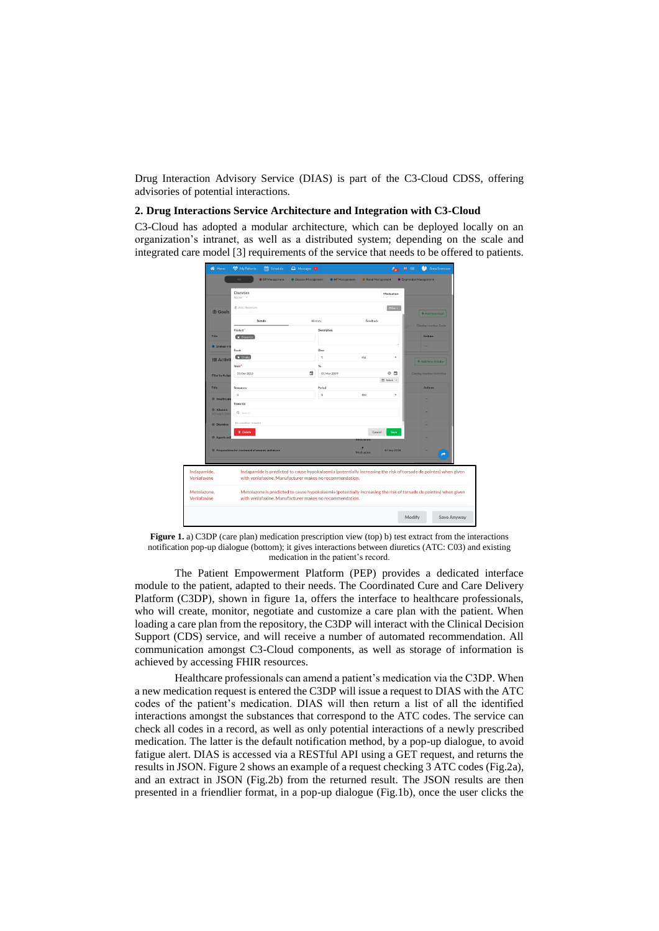Drug Interaction Advisory Service (DIAS) is part of the C3-Cloud CDSS, offering advisories of potential interactions.

#### **2. Drug Interactions Service Architecture and Integration with C3-Cloud**

C3-Cloud has adopted a modular architecture, which can be deployed locally on an organization's intranet, as well as a distributed system; depending on the scale and integrated care model [3] requirements of the service that needs to be offered to patients.

|                            | <b>Diuretics</b><br>Active -                                                                                                                                                |         |              |            | Medication  |                                    |
|----------------------------|-----------------------------------------------------------------------------------------------------------------------------------------------------------------------------|---------|--------------|------------|-------------|------------------------------------|
| <b>®</b> Goals             | & Anna Svensson<br>Other +                                                                                                                                                  |         |              |            |             |                                    |
|                            | <b>Details</b>                                                                                                                                                              | History |              | Feedback   |             | + Add New Goal                     |
|                            | Product <sup>*</sup>                                                                                                                                                        |         | Description  |            |             | <b>Display Inactive Goals</b>      |
| <b>Title</b>               | <b>X</b> Diuretics                                                                                                                                                          |         |              |            |             | <b>Actions</b>                     |
| <b>C</b> Evaluaryt         | Route                                                                                                                                                                       |         | Dose         |            |             |                                    |
| <b>i≡ Activit</b>          | <b>x</b> Orally                                                                                                                                                             |         | s            | mg         | $\;$        |                                    |
|                            | From <sup>*</sup>                                                                                                                                                           |         | To           |            |             | + Add New Activity                 |
| <b>Filter by Assign</b>    | 01 Oct 2018                                                                                                                                                                 | a       | 01 Mar 2019  |            | ⊙ ඏ         | <b>Display Inactive Activities</b> |
|                            | (f) Select =                                                                                                                                                                |         |              |            |             |                                    |
| Title                      | Frequency                                                                                                                                                                   |         | Period       |            |             | <b>Actions</b>                     |
| · Insulins an              | $\mathbf{1}$                                                                                                                                                                |         | $\mathbf{1}$ | day        | ٠           |                                    |
| <b>C</b> Albumin           | Reason(s)<br>Q Search                                                                                                                                                       |         |              |            |             |                                    |
| 500 mg/L (26)              |                                                                                                                                                                             |         |              |            |             |                                    |
| <b>B</b> Diuretics         | No condition selected                                                                                                                                                       |         |              |            |             |                                    |
| <b>C</b> Agents act        | <b><i><u>D</u></i></b> Delete                                                                                                                                               |         |              | Cancel     | Save        |                                    |
|                            |                                                                                                                                                                             |         |              |            |             |                                    |
|                            | Preparations for treatment of wounds and ulcers                                                                                                                             |         |              | Medication | 14 Sep 2018 | ←                                  |
|                            |                                                                                                                                                                             |         |              |            |             |                                    |
| ndapamide,                 | Indapamide is predicted to cause hypokalaemia (potentially increasing the risk of torsade de pointes) when given                                                            |         |              |            |             |                                    |
| /enlafaxine                | with venlafaxine. Manufacturer makes no recommendation.                                                                                                                     |         |              |            |             |                                    |
| Aetolazone.<br>/enlafaxine | Metolazone is predicted to cause hypokalaemia (potentially increasing the risk of torsade de pointes) when given<br>with venlafaxine. Manufacturer makes no recommendation. |         |              |            |             |                                    |

Figure 1. a) C3DP (care plan) medication prescription view (top) b) test extract from the interactions notification pop-up dialogue (bottom); it gives interactions between diuretics (ATC: C03) and existing medication in the patient's record.

The Patient Empowerment Platform (PEP) provides a dedicated interface module to the patient, adapted to their needs. The Coordinated Cure and Care Delivery Platform (C3DP), shown in figure 1a, offers the interface to healthcare professionals, who will create, monitor, negotiate and customize a care plan with the patient. When loading a care plan from the repository, the C3DP will interact with the Clinical Decision Support (CDS) service, and will receive a number of automated recommendation. All communication amongst C3-Cloud components, as well as storage of information is achieved by accessing FHIR resources.

Healthcare professionals can amend a patient's medication via the C3DP. When a new medication request is entered the C3DP will issue a request to DIAS with the ATC codes of the patient's medication. DIAS will then return a list of all the identified interactions amongst the substances that correspond to the ATC codes. The service can check all codes in a record, as well as only potential interactions of a newly prescribed medication. The latter is the default notification method, by a pop-up dialogue, to avoid fatigue alert. DIAS is accessed via a RESTful API using a GET request, and returns the results in JSON. Figure 2 shows an example of a request checking 3 ATC codes (Fig.2a), and an extract in JSON (Fig.2b) from the returned result. The JSON results are then presented in a friendlier format, in a pop-up dialogue (Fig.1b), once the user clicks the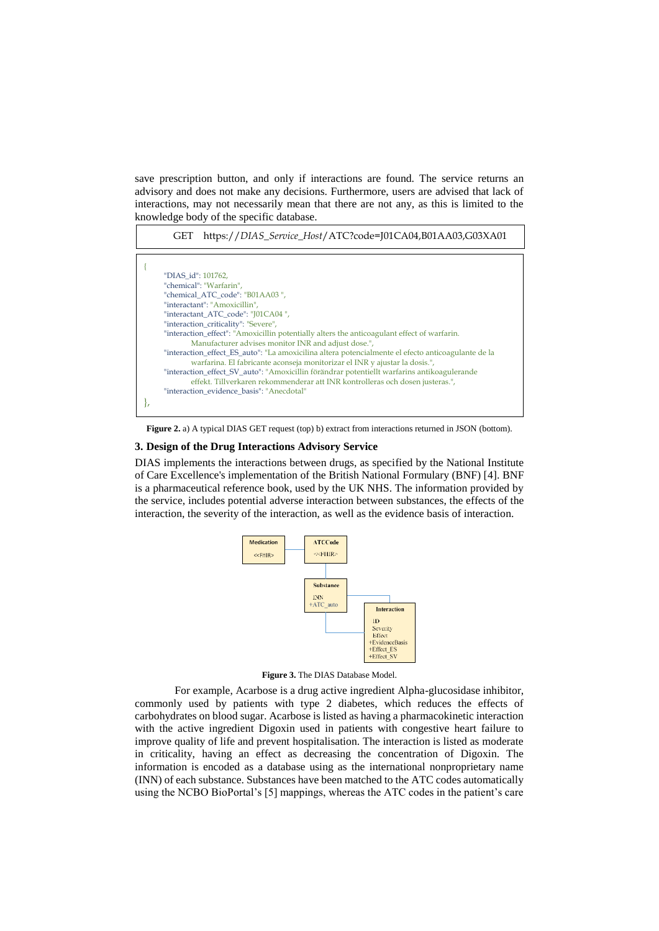save prescription button, and only if interactions are found. The service returns an advisory and does not make any decisions. Furthermore, users are advised that lack of interactions, may not necessarily mean that there are not any, as this is limited to the knowledge body of the specific database.



**Figure 2.** a) A typical DIAS GET request (top) b) extract from interactions returned in JSON (bottom).

#### **3. Design of the Drug Interactions Advisory Service**

DIAS implements the interactions between drugs, as specified by the National Institute of Care Excellence's implementation of the British National Formulary (BNF) [4]. BNF is a pharmaceutical reference book, used by the UK NHS. The information provided by the service, includes potential adverse interaction between substances, the effects of the interaction, the severity of the interaction, as well as the evidence basis of interaction.





For example, Acarbose is a drug active ingredient Alpha-glucosidase inhibitor, commonly used by patients with type 2 diabetes, which reduces the effects of carbohydrates on blood sugar. Acarbose is listed as having a pharmacokinetic interaction with the active ingredient Digoxin used in patients with congestive heart failure to improve quality of life and prevent hospitalisation. The interaction is listed as moderate in criticality, having an effect as decreasing the concentration of Digoxin. The information is encoded as a database using as the international nonproprietary name (INN) of each substance. Substances have been matched to the ATC codes automatically using the NCBO BioPortal's [5] mappings, whereas the ATC codes in the patient's care